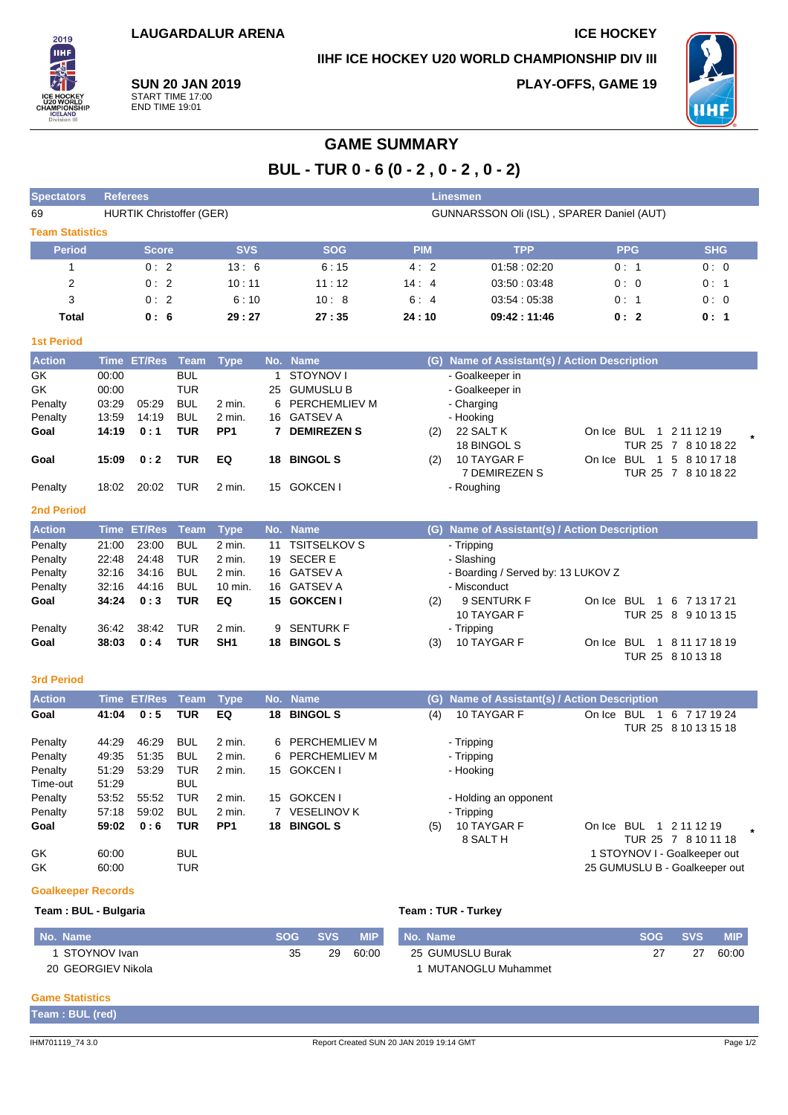## **IIHF ICE HOCKEY U20 WORLD CHAMPIONSHIP DIV III**

**PLAY-OFFS, GAME 19**



**SUN 20 JAN 2019** START TIME 17:00 END TIME 19:01

2019 **IIHF** 

# **GAME SUMMARY**

**BUL - TUR 0 - 6 (0 - 2 , 0 - 2 , 0 - 2)**

| <b>Spectators</b>         | <b>Referees</b><br><b>Linesmen</b>                                           |                    |             |                 |     |                      |            |                                               |                               |                      |  |  |
|---------------------------|------------------------------------------------------------------------------|--------------------|-------------|-----------------|-----|----------------------|------------|-----------------------------------------------|-------------------------------|----------------------|--|--|
| 69                        | <b>HURTIK Christoffer (GER)</b><br>GUNNARSSON Oli (ISL), SPARER Daniel (AUT) |                    |             |                 |     |                      |            |                                               |                               |                      |  |  |
| <b>Team Statistics</b>    |                                                                              |                    |             |                 |     |                      |            |                                               |                               |                      |  |  |
| <b>Period</b>             |                                                                              | <b>Score</b>       |             | <b>SVS</b>      |     | <b>SOG</b>           | <b>PIM</b> | <b>TPP</b>                                    | <b>PPG</b>                    | <b>SHG</b>           |  |  |
| $\mathbf{1}$              |                                                                              | 0:2                |             | 13:6            |     | 6:15                 | 4:2        | 01:58:02:20                                   | 0: 1                          | 0:0                  |  |  |
| $\overline{2}$            |                                                                              | 0:2                |             | 10:11           |     | 11:12                | 14:4       | 03:50:03:48                                   | 0:0                           | 0:1                  |  |  |
| 3                         |                                                                              | 0:2                |             | 6:10            |     | 10:8                 | 6:4        | 03:54:05:38                                   | 0: 1                          | 0:0                  |  |  |
| <b>Total</b>              |                                                                              | 0:6                |             | 29:27           |     | 27:35                |            | 09:42:11:46                                   | 0:2                           | 0: 1                 |  |  |
|                           |                                                                              |                    |             |                 |     |                      | 24:10      |                                               |                               |                      |  |  |
| <b>1st Period</b>         |                                                                              |                    |             |                 |     |                      |            |                                               |                               |                      |  |  |
| <b>Action</b>             | <b>Time</b>                                                                  | <b>ET/Res</b>      | <b>Team</b> | <b>Type</b>     |     | No. Name             |            | (G) Name of Assistant(s) / Action Description |                               |                      |  |  |
| GK                        | 00:00                                                                        |                    | <b>BUL</b>  |                 | 1   | STOYNOV I            |            | - Goalkeeper in                               |                               |                      |  |  |
| GK                        | 00:00                                                                        |                    | TUR         |                 | 25  | <b>GUMUSLU B</b>     |            | - Goalkeeper in                               |                               |                      |  |  |
| Penalty                   | 03:29                                                                        | 05:29              | <b>BUL</b>  | 2 min.          | 6   | PERCHEMLIEV M        |            | - Charging                                    |                               |                      |  |  |
| Penalty                   | 13:59                                                                        | 14:19              | <b>BUL</b>  | $2$ min.        | 16  | <b>GATSEV A</b>      |            | - Hooking                                     |                               |                      |  |  |
| Goal                      | 14:19                                                                        | 0:1                | <b>TUR</b>  | PP <sub>1</sub> |     | 7 DEMIREZEN S        | (2)        | 22 SALT K                                     | On Ice BUL<br>$\overline{1}$  | 2 11 12 19           |  |  |
|                           |                                                                              |                    |             |                 |     |                      |            | 18 BINGOL S                                   |                               | TUR 25 7 8 10 18 22  |  |  |
| Goal                      | 15:09                                                                        | 0:2                | <b>TUR</b>  | EQ              | 18  | <b>BINGOL S</b>      | (2)        | 10 TAYGAR F                                   | On Ice BUL<br>$\overline{1}$  | 5 8 10 17 18         |  |  |
|                           |                                                                              |                    |             |                 |     |                      |            | 7 DEMIREZEN S                                 |                               | TUR 25 7 8 10 18 22  |  |  |
| Penalty                   | 18:02                                                                        | 20:02              | TUR         | 2 min.          |     | 15 GOKCEN I          |            | - Roughing                                    |                               |                      |  |  |
| <b>2nd Period</b>         |                                                                              |                    |             |                 |     |                      |            |                                               |                               |                      |  |  |
| <b>Action</b>             |                                                                              | Time ET/Res        | <b>Team</b> | <b>Type</b>     |     | No. Name             |            | (G) Name of Assistant(s) / Action Description |                               |                      |  |  |
| Penalty                   | 21:00                                                                        | 23:00              | <b>BUL</b>  | 2 min.          | 11  | <b>TSITSELKOV S</b>  |            | - Tripping                                    |                               |                      |  |  |
| Penalty                   | 22:48                                                                        | 24:48              | <b>TUR</b>  | 2 min.          | 19  | <b>SECERE</b>        |            | - Slashing                                    |                               |                      |  |  |
| Penalty                   | 32:16                                                                        | 34:16              | <b>BUL</b>  | $2$ min.        |     | 16 GATSEV A          |            | - Boarding / Served by: 13 LUKOV Z            |                               |                      |  |  |
| Penalty                   | 32:16                                                                        | 44:16              | <b>BUL</b>  | 10 min.         | 16  | <b>GATSEV A</b>      |            | - Misconduct                                  |                               |                      |  |  |
| Goal                      | 34:24                                                                        | 0:3                | <b>TUR</b>  | EQ              |     | 15 GOKCEN I          | (2)        | 9 SENTURK F                                   | On Ice BUL 1                  | 6 7 13 17 21         |  |  |
|                           |                                                                              |                    |             |                 |     |                      |            | 10 TAYGAR F                                   |                               | TUR 25 8 9 10 13 15  |  |  |
| Penalty                   | 36:42                                                                        | 38:42              | TUR         | 2 min.          | 9   | SENTURK F            |            | - Tripping                                    |                               |                      |  |  |
| Goal                      | 38:03                                                                        | 0:4                | <b>TUR</b>  | SH <sub>1</sub> |     | 18 BINGOL S          | (3)        | 10 TAYGAR F                                   | On Ice BUL                    | 1 8 11 17 18 19      |  |  |
|                           |                                                                              |                    |             |                 |     |                      |            |                                               |                               | TUR 25 8 10 13 18    |  |  |
|                           |                                                                              |                    |             |                 |     |                      |            |                                               |                               |                      |  |  |
| <b>3rd Period</b>         |                                                                              |                    |             |                 |     |                      |            |                                               |                               |                      |  |  |
| <b>Action</b>             |                                                                              | <b>Time ET/Res</b> | <b>Team</b> | <b>Type</b>     | No. | <b>Name</b>          | (G)        | Name of Assistant(s) / Action Description     |                               |                      |  |  |
| Goal                      | 41:04                                                                        | 0:5                | TUR         | EQ              |     | 18 BINGOL S          | (4)        | 10 TAYGAR F                                   | On Ice BUL<br>$\overline{1}$  | 6 7 17 19 24         |  |  |
|                           |                                                                              |                    |             |                 |     |                      |            |                                               |                               | TUR 25 8 10 13 15 18 |  |  |
| Penalty                   | 44:29                                                                        | 46:29              | <b>BUL</b>  | 2 min.          | 6   | PERCHEMLIEV M        |            | - Tripping                                    |                               |                      |  |  |
| Penalty                   | 49:35                                                                        | 51:35              | <b>BUL</b>  | 2 min.          | 6   | <b>PERCHEMLIEV M</b> |            | - Tripping                                    |                               |                      |  |  |
| Penalty                   | 51:29                                                                        | 53:29              | TUR         | 2 min.          |     | 15 GOKCEN I          |            | - Hooking                                     |                               |                      |  |  |
| Time-out                  | 51:29                                                                        |                    | <b>BUL</b>  |                 |     |                      |            |                                               |                               |                      |  |  |
| Penalty                   | 53:52                                                                        | 55:52              | <b>TUR</b>  | 2 min.          |     | 15 GOKCEN I          |            | - Holding an opponent                         |                               |                      |  |  |
| Penalty                   | 57:18                                                                        | 59:02              | <b>BUL</b>  | 2 min.          |     | 7 VESELINOV K        |            | - Tripping                                    |                               |                      |  |  |
| Goal                      | 59:02                                                                        | 0:6                | <b>TUR</b>  | PP <sub>1</sub> |     | 18 BINGOL S          | (5)        | 10 TAYGAR F                                   | On Ice BUL 1 2 11 12 19       |                      |  |  |
|                           |                                                                              |                    |             |                 |     |                      |            | 8 SALT H                                      |                               | TUR 25 7 8 10 11 18  |  |  |
| GK                        | 60:00                                                                        |                    | <b>BUL</b>  |                 |     |                      |            |                                               | 1 STOYNOV I - Goalkeeper out  |                      |  |  |
| GK                        | 60:00                                                                        |                    | <b>TUR</b>  |                 |     |                      |            |                                               | 25 GUMUSLU B - Goalkeeper out |                      |  |  |
| <b>Goalkeeper Records</b> |                                                                              |                    |             |                 |     |                      |            |                                               |                               |                      |  |  |
|                           |                                                                              |                    |             |                 |     |                      |            |                                               |                               |                      |  |  |
| Team: BUL - Bulgaria      |                                                                              |                    |             |                 |     |                      |            | Team: TUR - Turkey                            |                               |                      |  |  |

| No. Name           | <b>SOG</b> | <b>SVS</b> | <b>MIP</b> | No. Name           | <b>SOG</b> | <b>SVS</b> | <b>MIP</b> |
|--------------------|------------|------------|------------|--------------------|------------|------------|------------|
| STOYNOV Ivan       | つに         | 29         | 60:00      | 25 GUMUSLU Burak   |            |            | 60:00      |
| 20 GEORGIEV Nikola |            |            |            | MUTANOGLU Muhammet |            |            |            |

### **Game Statistics**

**Team : BUL (red)**